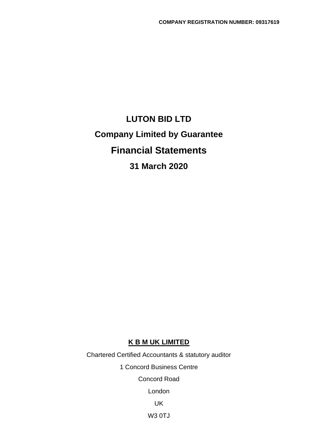# **LUTON BID LTD Company Limited by Guarantee Financial Statements 31 March 2020**

## **K B M UK LIMITED**

Chartered Certified Accountants & statutory auditor 1 Concord Business Centre Concord Road London UK

W3 0TJ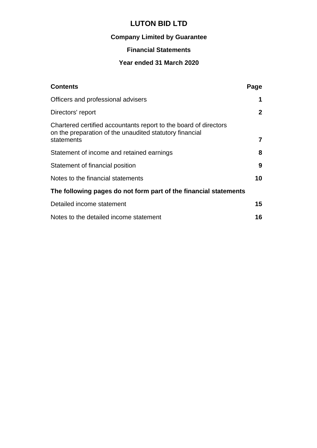## **Company Limited by Guarantee**

## **Financial Statements**

## **Year ended 31 March 2020**

| Page                                                             |
|------------------------------------------------------------------|
| 1                                                                |
| $\mathbf{2}$                                                     |
| $\overline{7}$                                                   |
| 8                                                                |
| 9                                                                |
| 10                                                               |
| The following pages do not form part of the financial statements |
| 15                                                               |
| 16                                                               |
|                                                                  |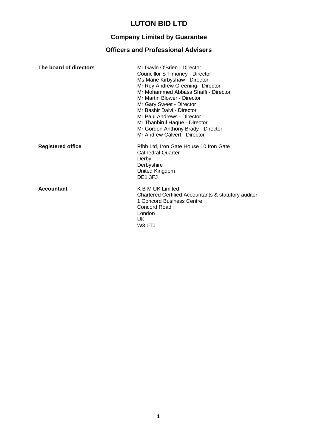## **Company Limited by Guarantee**

## **Officers and Professional Advisers**

| The board of directors   | Mr Gavin O'Brien - Director<br>Councillor S Timoney - Director<br>Ms Marie Kirbyshaw - Director<br>Mr Roy Andrew Greening - Director<br>Mr Mohammed Abbass Shaffi - Director<br>Mr Martin Blower - Director<br>Mr Gary Sweet - Director<br>Mr Bashir Dalvi - Director<br>Mr Paul Andrews - Director<br>Mr Thanbirul Haque - Director<br>Mr Gordon Anthony Brady - Director<br>Mr Andrew Calvert - Director |
|--------------------------|------------------------------------------------------------------------------------------------------------------------------------------------------------------------------------------------------------------------------------------------------------------------------------------------------------------------------------------------------------------------------------------------------------|
| <b>Registered office</b> | Pfbb Ltd, Iron Gate House 10 Iron Gate<br><b>Cathedral Quarter</b><br>Derby<br>Derbyshire<br>United Kingdom<br>DE <sub>1</sub> 3FJ                                                                                                                                                                                                                                                                         |
| <b>Accountant</b>        | <b>K B M UK Limited</b><br>Chartered Certified Accountants & statutory auditor<br>1 Concord Business Centre<br>Concord Road<br>London<br>UK.<br>W3 OTJ                                                                                                                                                                                                                                                     |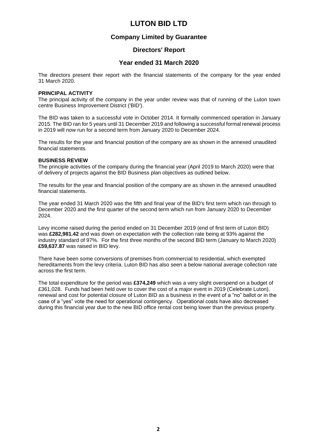### **Company Limited by Guarantee**

### **Directors' Report**

### **Year ended 31 March 2020**

The directors present their report with the financial statements of the company for the year ended 31 March 2020.

#### **PRINCIPAL ACTIVITY**

The principal activity of the company in the year under review was that of running of the Luton town centre Business Improvement District ('BID').

The BID was taken to a successful vote in October 2014. It formally commenced operation in January 2015. The BID ran for 5 years until 31 December 2019 and following a successful formal renewal process in 2019 will now run for a second term from January 2020 to December 2024.

The results for the year and financial position of the company are as shown in the annexed unaudited financial statements.

#### **BUSINESS REVIEW**

The principle activities of the company during the financial year (April 2019 to March 2020) were that of delivery of projects against the BID Business plan objectives as outlined below.

The results for the year and financial position of the company are as shown in the annexed unaudited financial statements.

The year ended 31 March 2020 was the fifth and final year of the BID's first term which ran through to December 2020 and the first quarter of the second term which run from January 2020 to December 2024.

Levy income raised during the period ended on 31 December 2019 (end of first term of Luton BID) was **£282,981.42** and was down on expectation with the collection rate being at 93% against the industry standard of 97%. For the first three months of the second BID term (January to March 2020) **£59,637.87** was raised in BID levy.

There have been some conversions of premises from commercial to residential, which exempted hereditaments from the levy criteria. Luton BID has also seen a below national average collection rate across the first term.

The total expenditure for the period was **£374,249** which was a very slight overspend on a budget of £361,028. Funds had been held over to cover the cost of a major event in 2019 (Celebrate Luton), renewal and cost for potential closure of Luton BID as a business in the event of a "no" ballot or in the case of a "yes" vote the need for operational contingency. Operational costs have also decreased during this financial year due to the new BID office rental cost being lower than the previous property.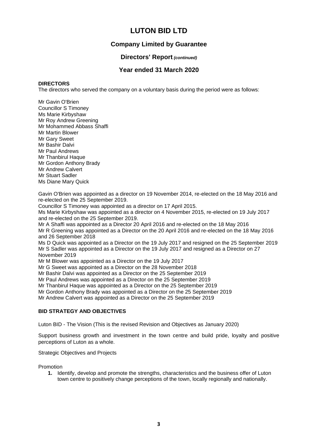### **Company Limited by Guarantee**

### **Directors' Report** *(continued)*

### **Year ended 31 March 2020**

#### **DIRECTORS**

The directors who served the company on a voluntary basis during the period were as follows:

Mr Gavin O'Brien Councillor S Timoney Ms Marie Kirbyshaw Mr Roy Andrew Greening Mr Mohammed Abbass Shaffi Mr Martin Blower Mr Gary Sweet Mr Bashir Dalvi Mr Paul Andrews Mr Thanbirul Haque Mr Gordon Anthony Brady Mr Andrew Calvert Mr Stuart Sadler Ms Diane Mary Quick

Gavin O'Brien was appointed as a director on 19 November 2014, re-elected on the 18 May 2016 and re-elected on the 25 September 2019.

Councillor S Timoney was appointed as a director on 17 April 2015.

Ms Marie Kirbyshaw was appointed as a director on 4 November 2015, re-elected on 19 July 2017 and re-elected on the 25 September 2019.

Mr A Shaffi was appointed as a Director 20 April 2016 and re-elected on the 18 May 2016

Mr R Greening was appointed as a Director on the 20 April 2016 and re-elected on the 18 May 2016 and 26 September 2018

Ms D Quick was appointed as a Director on the 19 July 2017 and resigned on the 25 September 2019 Mr S Sadler was appointed as a Director on the 19 July 2017 and resigned as a Director on 27 November 2019

Mr M Blower was appointed as a Director on the 19 July 2017

Mr G Sweet was appointed as a Director on the 28 November 2018

Mr Bashir Dalvi was appointed as a Director on the 25 September 2019

Mr Paul Andrews was appointed as a Director on the 25 September 2019

Mr Thanbirul Haque was appointed as a Director on the 25 September 2019

Mr Gordon Anthony Brady was appointed as a Director on the 25 September 2019

Mr Andrew Calvert was appointed as a Director on the 25 September 2019

### **BID STRATEGY AND OBJECTIVES**

Luton BID - The Vision (This is the revised Revision and Objectives as January 2020)

Support business growth and investment in the town centre and build pride, loyalty and positive perceptions of Luton as a whole.

#### Strategic Objectives and Projects

Promotion

**1.** Identify, develop and promote the strengths, characteristics and the business offer of Luton town centre to positively change perceptions of the town, locally regionally and nationally.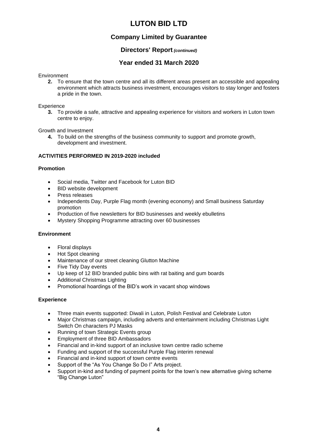### **Company Limited by Guarantee**

### **Directors' Report** *(continued)*

### **Year ended 31 March 2020**

**Environment** 

**2.** To ensure that the town centre and all its different areas present an accessible and appealing environment which attracts business investment, encourages visitors to stay longer and fosters a pride in the town.

#### **Experience**

**3.** To provide a safe, attractive and appealing experience for visitors and workers in Luton town centre to enjoy.

Growth and Investment

**4.** To build on the strengths of the business community to support and promote growth, development and investment.

#### **ACTIVITIES PERFORMED IN 2019-2020 included**

#### **Promotion**

- Social media, Twitter and Facebook for Luton BID
- BID website development
- Press releases
- Independents Day, Purple Flag month (evening economy) and Small business Saturday promotion
- Production of five newsletters for BID businesses and weekly ebulletins
- Mystery Shopping Programme attracting over 60 businesses

#### **Environment**

- Floral displays
- Hot Spot cleaning
- Maintenance of our street cleaning Glutton Machine
- Five Tidy Day events
- Up keep of 12 BID branded public bins with rat baiting and gum boards
- Additional Christmas Lighting
- Promotional hoardings of the BID's work in vacant shop windows

#### **Experience**

- Three main events supported: Diwali in Luton, Polish Festival and Celebrate Luton
- Major Christmas campaign, including adverts and entertainment including Christmas Light Switch On characters PJ Masks
- Running of town Strategic Events group
- Employment of three BID Ambassadors
- Financial and in-kind support of an inclusive town centre radio scheme
- Funding and support of the successful Purple Flag interim renewal
- Financial and in-kind support of town centre events
- Support of the "As You Change So Do I" Arts project.
- Support in-kind and funding of payment points for the town's new alternative giving scheme "Big Change Luton"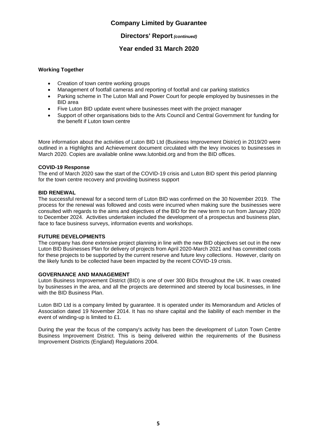### **Company Limited by Guarantee**

### **Directors' Report** *(continued)*

### **Year ended 31 March 2020**

### **Working Together**

- Creation of town centre working groups
- Management of footfall cameras and reporting of footfall and car parking statistics
- Parking scheme in The Luton Mall and Power Court for people employed by businesses in the BID area
- Five Luton BID update event where businesses meet with the project manager
- Support of other organisations bids to the Arts Council and Central Government for funding for the benefit if Luton town centre

More information about the activities of Luton BID Ltd (Business Improvement District) in 2019/20 were outlined in a Highlights and Achievement document circulated with the levy invoices to businesses in March 2020. Copies are available online [www.lutonbid.org](http://www.lutonbid.org/) and from the BID offices.

#### **COVID-19 Response**

The end of March 2020 saw the start of the COVID-19 crisis and Luton BID spent this period planning for the town centre recovery and providing business support

#### **BID RENEWAL**

The successful renewal for a second term of Luton BID was confirmed on the 30 November 2019. The process for the renewal was followed and costs were incurred when making sure the businesses were consulted with regards to the aims and objectives of the BID for the new term to run from January 2020 to December 2024. Activities undertaken included the development of a prospectus and business plan, face to face business surveys, information events and workshops.

#### **FUTURE DEVELOPMENTS**

The company has done extensive project planning in line with the new BID objectives set out in the new Luton BID Businesses Plan for delivery of projects from April 2020-March 2021 and has committed costs for these projects to be supported by the current reserve and future levy collections. However, clarity on the likely funds to be collected have been impacted by the recent COVID-19 crisis.

#### **GOVERNANCE AND MANAGEMENT**

Luton Business Improvement District (BID) is one of over 300 BIDs throughout the UK. It was created by businesses in the area, and all the projects are determined and steered by local businesses, in line with the BID Business Plan.

Luton BID Ltd is a company limited by guarantee. It is operated under its Memorandum and Articles of Association dated 19 November 2014. It has no share capital and the liability of each member in the event of winding-up is limited to £1.

During the year the focus of the company's activity has been the development of Luton Town Centre Business Improvement District. This is being delivered within the requirements of the Business Improvement Districts (England) Regulations 2004.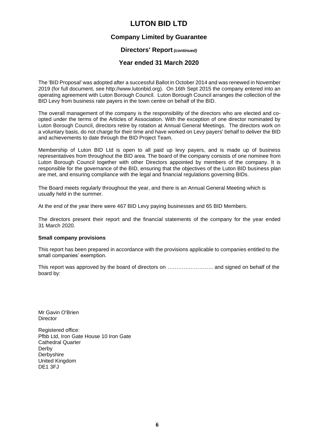### **Company Limited by Guarantee**

### **Directors' Report** *(continued)*

### **Year ended 31 March 2020**

The 'BID Proposal' was adopted after a successful Ballot in October 2014 and was renewed in November 2019 (for full document, see http://www.lutonbid.org). On 16th Sept 2015 the company entered into an operating agreement with Luton Borough Council. Luton Borough Council arranges the collection of the BID Levy from business rate payers in the town centre on behalf of the BID.

The overall management of the company is the responsibility of the directors who are elected and coopted under the terms of the Articles of Association. With the exception of one director nominated by Luton Borough Council, directors retire by rotation at Annual General Meetings. The directors work on a voluntary basis, do not charge for their time and have worked on Levy payers' behalf to deliver the BID and achievements to date through the BID Project Team.

Membership of Luton BID Ltd is open to all paid up levy payers, and is made up of business representatives from throughout the BID area. The board of the company consists of one nominee from Luton Borough Council together with other Directors appointed by members of the company. It is responsible for the governance of the BID, ensuring that the objectives of the Luton BID business plan are met, and ensuring compliance with the legal and financial regulations governing BIDs.

The Board meets regularly throughout the year, and there is an Annual General Meeting which is usually held in the summer.

At the end of the year there were 467 BID Levy paying businesses and 65 BID Members.

The directors present their report and the financial statements of the company for the year ended 31 March 2020.

#### **Small company provisions**

This report has been prepared in accordance with the provisions applicable to companies entitled to the small companies' exemption.

This report was approved by the board of directors on …………………….. and signed on behalf of the board by:

Mr Gavin O'Brien **Director** 

Registered office: Pfbb Ltd, Iron Gate House 10 Iron Gate Cathedral Quarter Derby **Derbyshire** United Kingdom DE1 3FJ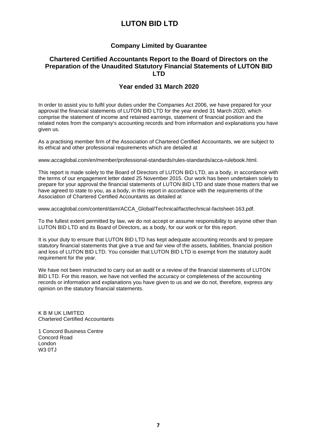### **Company Limited by Guarantee**

### **Chartered Certified Accountants Report to the Board of Directors on the Preparation of the Unaudited Statutory Financial Statements of LUTON BID LTD**

### **Year ended 31 March 2020**

In order to assist you to fulfil your duties under the Companies Act 2006, we have prepared for your approval the financial statements of LUTON BID LTD for the year ended 31 March 2020, which comprise the statement of income and retained earnings, statement of financial position and the related notes from the company's accounting records and from information and explanations you have given us.

As a practising member firm of the Association of Chartered Certified Accountants, we are subject to its ethical and other professional requirements which are detailed at

[www.accaglobal.com/en/member/professional-standards/rules-standards/acca-rulebook.html.](http://www.accaglobal.com/en/member/professional-standards/rules-standards/acca-rulebook.html)

This report is made solely to the Board of Directors of LUTON BID LTD, as a body, in accordance with the terms of our engagement letter dated 25 November 2015. Our work has been undertaken solely to prepare for your approval the financial statements of LUTON BID LTD and state those matters that we have agreed to state to you, as a body, in this report in accordance with the requirements of the Association of Chartered Certified Accountants as detailed at

[www.accaglobal.com/content/dam/ACCA\\_Global/Technical/fact/technical-factsheet-163.pdf.](http://www.accaglobal.com/content/dam/ACCA_Global/Technical/fact/technical-factsheet-163.pdf)

To the fullest extent permitted by law, we do not accept or assume responsibility to anyone other than LUTON BID LTD and its Board of Directors, as a body, for our work or for this report.

It is your duty to ensure that LUTON BID LTD has kept adequate accounting records and to prepare statutory financial statements that give a true and fair view of the assets, liabilities, financial position and loss of LUTON BID LTD. You consider that LUTON BID LTD is exempt from the statutory audit requirement for the year.

We have not been instructed to carry out an audit or a review of the financial statements of LUTON BID LTD. For this reason, we have not verified the accuracy or completeness of the accounting records or information and explanations you have given to us and we do not, therefore, express any opinion on the statutory financial statements.

K B M UK LIMITED Chartered Certified Accountants

1 Concord Business Centre Concord Road London W3 0TJ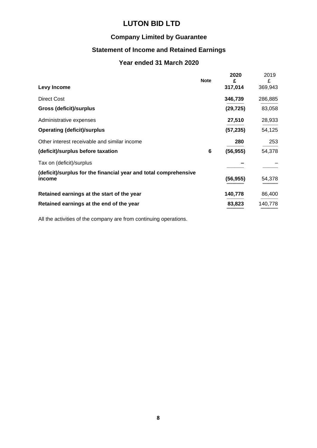## **Company Limited by Guarantee**

## **Statement of Income and Retained Earnings**

## **Year ended 31 March 2020**

| Levy Income                                                                | <b>Note</b> | 2020<br>£<br>317,014 | 2019<br>£<br>369,943 |
|----------------------------------------------------------------------------|-------------|----------------------|----------------------|
| <b>Direct Cost</b>                                                         |             | 346,739              | 286,885              |
| <b>Gross (deficit)/surplus</b>                                             |             | (29, 725)            | 83,058               |
| Administrative expenses                                                    |             | 27,510               | 28,933               |
| <b>Operating (deficit)/surplus</b>                                         |             | (57, 235)            | 54,125               |
| Other interest receivable and similar income                               |             | 280                  | 253                  |
| (deficit)/surplus before taxation                                          | 6           | (56, 955)            | 54,378               |
| Tax on (deficit)/surplus                                                   |             |                      |                      |
| (deficit)/surplus for the financial year and total comprehensive<br>income |             | (56,955)             | 54,378               |
| Retained earnings at the start of the year                                 |             | 140,778              | 86,400               |
| Retained earnings at the end of the year                                   |             | 83,823               | 140,778              |

All the activities of the company are from continuing operations.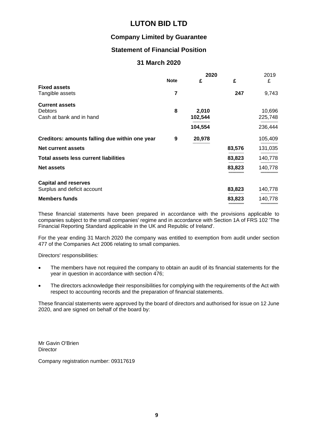### **Company Limited by Guarantee**

## **Statement of Financial Position**

### **31 March 2020**

|                                                |             | 2020    |        | 2019    |
|------------------------------------------------|-------------|---------|--------|---------|
|                                                | <b>Note</b> | £       | £      | £       |
| <b>Fixed assets</b><br>Tangible assets         | 7           |         | 247    | 9,743   |
| <b>Current assets</b><br><b>Debtors</b>        | 8           | 2,010   |        | 10,696  |
| Cash at bank and in hand                       |             | 102,544 |        | 225,748 |
|                                                |             | 104,554 |        | 236,444 |
| Creditors: amounts falling due within one year | 9           | 20,978  |        | 105,409 |
| <b>Net current assets</b>                      |             |         | 83,576 | 131,035 |
| <b>Total assets less current liabilities</b>   |             |         | 83,823 | 140,778 |
| <b>Net assets</b>                              |             |         | 83,823 | 140,778 |
| <b>Capital and reserves</b>                    |             |         |        |         |
| Surplus and deficit account                    |             |         | 83,823 | 140,778 |
| <b>Members funds</b>                           |             |         | 83,823 | 140,778 |

These financial statements have been prepared in accordance with the provisions applicable to companies subject to the small companies' regime and in accordance with Section 1A of FRS 102 'The Financial Reporting Standard applicable in the UK and Republic of Ireland'.

For the year ending 31 March 2020 the company was entitled to exemption from audit under section 477 of the Companies Act 2006 relating to small companies.

Directors' responsibilities:

- The members have not required the company to obtain an audit of its financial statements for the year in question in accordance with section 476;
- The directors acknowledge their responsibilities for complying with the requirements of the Act with respect to accounting records and the preparation of financial statements.

These financial statements were approved by the board of directors and authorised for issue on 12 June 2020, and are signed on behalf of the board by:

Mr Gavin O'Brien **Director** 

Company registration number: 09317619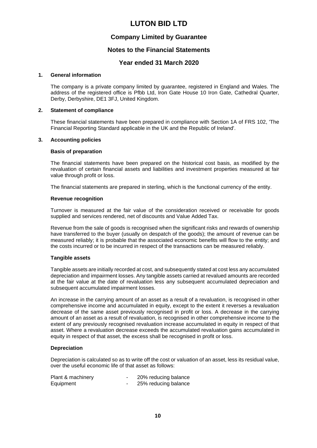### **Company Limited by Guarantee**

### **Notes to the Financial Statements**

### **Year ended 31 March 2020**

#### **1. General information**

The company is a private company limited by guarantee, registered in England and Wales. The address of the registered office is Pfbb Ltd, Iron Gate House 10 Iron Gate, Cathedral Quarter, Derby, Derbyshire, DE1 3FJ, United Kingdom.

#### **2. Statement of compliance**

These financial statements have been prepared in compliance with Section 1A of FRS 102, 'The Financial Reporting Standard applicable in the UK and the Republic of Ireland'.

#### **3. Accounting policies**

#### **Basis of preparation**

The financial statements have been prepared on the historical cost basis, as modified by the revaluation of certain financial assets and liabilities and investment properties measured at fair value through profit or loss.

The financial statements are prepared in sterling, which is the functional currency of the entity.

#### **Revenue recognition**

Turnover is measured at the fair value of the consideration received or receivable for goods supplied and services rendered, net of discounts and Value Added Tax.

Revenue from the sale of goods is recognised when the significant risks and rewards of ownership have transferred to the buyer (usually on despatch of the goods); the amount of revenue can be measured reliably; it is probable that the associated economic benefits will flow to the entity; and the costs incurred or to be incurred in respect of the transactions can be measured reliably.

#### **Tangible assets**

Tangible assets are initially recorded at cost, and subsequently stated at cost less any accumulated depreciation and impairment losses. Any tangible assets carried at revalued amounts are recorded at the fair value at the date of revaluation less any subsequent accumulated depreciation and subsequent accumulated impairment losses.

An increase in the carrying amount of an asset as a result of a revaluation, is recognised in other comprehensive income and accumulated in equity, except to the extent it reverses a revaluation decrease of the same asset previously recognised in profit or loss. A decrease in the carrying amount of an asset as a result of revaluation, is recognised in other comprehensive income to the extent of any previously recognised revaluation increase accumulated in equity in respect of that asset. Where a revaluation decrease exceeds the accumulated revaluation gains accumulated in equity in respect of that asset, the excess shall be recognised in profit or loss.

#### **Depreciation**

Depreciation is calculated so as to write off the cost or valuation of an asset, less its residual value, over the useful economic life of that asset as follows:

| Plant & machinery | 20% reducing balance |
|-------------------|----------------------|
| Equipment         | 25% reducing balance |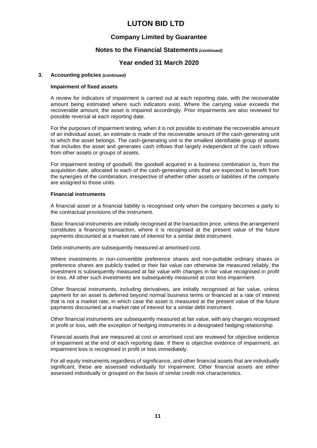### **Company Limited by Guarantee**

### **Notes to the Financial Statements** *(continued)*

### **Year ended 31 March 2020**

#### **3. Accounting policies** *(continued)*

#### **Impairment of fixed assets**

A review for indicators of impairment is carried out at each reporting date, with the recoverable amount being estimated where such indicators exist. Where the carrying value exceeds the recoverable amount, the asset is impaired accordingly. Prior impairments are also reviewed for possible reversal at each reporting date.

For the purposes of impairment testing, when it is not possible to estimate the recoverable amount of an individual asset, an estimate is made of the recoverable amount of the cash-generating unit to which the asset belongs. The cash-generating unit is the smallest identifiable group of assets that includes the asset and generates cash inflows that largely independent of the cash inflows from other assets or groups of assets.

For impairment testing of goodwill, the goodwill acquired in a business combination is, from the acquisition date, allocated to each of the cash-generating units that are expected to benefit from the synergies of the combination, irrespective of whether other assets or liabilities of the company are assigned to those units.

#### **Financial instruments**

A financial asset or a financial liability is recognised only when the company becomes a party to the contractual provisions of the instrument.

Basic financial instruments are initially recognised at the transaction price, unless the arrangement constitutes a financing transaction, where it is recognised at the present value of the future payments discounted at a market rate of interest for a similar debt instrument.

Debt instruments are subsequently measured at amortised cost.

Where investments in non-convertible preference shares and non-puttable ordinary shares or preference shares are publicly traded or their fair value can otherwise be measured reliably, the investment is subsequently measured at fair value with changes in fair value recognised in profit or loss. All other such investments are subsequently measured at cost less impairment.

Other financial instruments, including derivatives, are initially recognised at fair value, unless payment for an asset is deferred beyond normal business terms or financed at a rate of interest that is not a market rate, in which case the asset is measured at the present value of the future payments discounted at a market rate of interest for a similar debt instrument.

Other financial instruments are subsequently measured at fair value, with any changes recognised in profit or loss, with the exception of hedging instruments in a designated hedging relationship.

Financial assets that are measured at cost or amortised cost are reviewed for objective evidence of impairment at the end of each reporting date. If there is objective evidence of impairment, an impairment loss is recognised in profit or loss immediately.

For all equity instruments regardless of significance, and other financial assets that are individually significant, these are assessed individually for impairment. Other financial assets are either assessed individually or grouped on the basis of similar credit risk characteristics.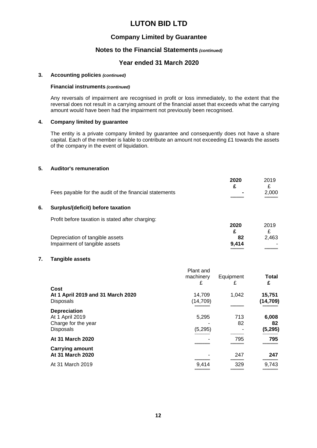### **Company Limited by Guarantee**

### **Notes to the Financial Statements** *(continued)*

### **Year ended 31 March 2020**

#### **3. Accounting policies** *(continued)*

#### **Financial instruments** *(continued)*

Any reversals of impairment are recognised in profit or loss immediately, to the extent that the reversal does not result in a carrying amount of the financial asset that exceeds what the carrying amount would have been had the impairment not previously been recognised.

#### **4. Company limited by guarantee**

The entity is a private company limited by guarantee and consequently does not have a share capital. Each of the member is liable to contribute an amount not exceeding £1 towards the assets of the company in the event of liquidation.

#### **5. Auditor's remuneration**

|                                                        | 2020   | 2019  |
|--------------------------------------------------------|--------|-------|
|                                                        |        |       |
| Fees payable for the audit of the financial statements | $\sim$ | 2.000 |
|                                                        |        |       |

#### **6. Surplus/(deficit) before taxation**

Profit before taxation is stated after charging:

|                                 | 2020  | 2019  |
|---------------------------------|-------|-------|
| Depreciation of tangible assets | 82    | 2.463 |
| Impairment of tangible assets   | 9.414 |       |
|                                 |       |       |

#### **7. Tangible assets**

|                                                                                   | Plant and<br>machinery<br>£ | Equipment<br>£ | Total<br>£              |
|-----------------------------------------------------------------------------------|-----------------------------|----------------|-------------------------|
| Cost<br>At 1 April 2019 and 31 March 2020<br><b>Disposals</b>                     | 14,709<br>(14,709)          | 1,042          | 15,751<br>(14,709)      |
| <b>Depreciation</b><br>At 1 April 2019<br>Charge for the year<br><b>Disposals</b> | 5,295<br>(5, 295)           | 713<br>82      | 6,008<br>82<br>(5, 295) |
| At 31 March 2020                                                                  |                             | 795            | 795                     |
| <b>Carrying amount</b><br>At 31 March 2020                                        |                             | 247            | 247                     |
| At 31 March 2019                                                                  | 9.414                       | 329            | 9,743                   |
|                                                                                   |                             |                |                         |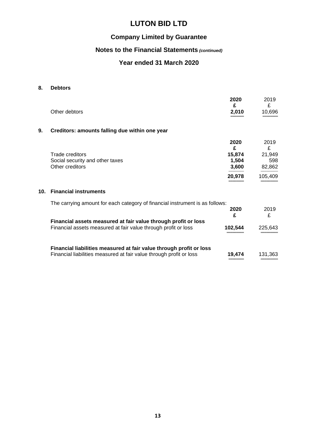## **Company Limited by Guarantee**

## **Notes to the Financial Statements** *(continued)*

## **Year ended 31 March 2020**

### **8. Debtors**

|                 | Other debtors                                                                                                                              | 2020<br>£<br>2,010                              | 2019<br>£<br>10,696                             |
|-----------------|--------------------------------------------------------------------------------------------------------------------------------------------|-------------------------------------------------|-------------------------------------------------|
| 9.              | Creditors: amounts falling due within one year                                                                                             |                                                 |                                                 |
|                 | Trade creditors<br>Social security and other taxes<br>Other creditors                                                                      | 2020<br>£<br>15,874<br>1,504<br>3,600<br>20,978 | 2019<br>£<br>21,949<br>598<br>82,862<br>105,409 |
| 10 <sub>1</sub> | <b>Financial instruments</b>                                                                                                               |                                                 |                                                 |
|                 | The carrying amount for each category of financial instrument is as follows:                                                               | 2020<br>£                                       | 2019<br>£                                       |
|                 | Financial assets measured at fair value through profit or loss<br>Financial assets measured at fair value through profit or loss           | 102,544                                         | 225,643                                         |
|                 | Financial liabilities measured at fair value through profit or loss<br>Financial liabilities measured at fair value through profit or loss | 19,474                                          | 131,363                                         |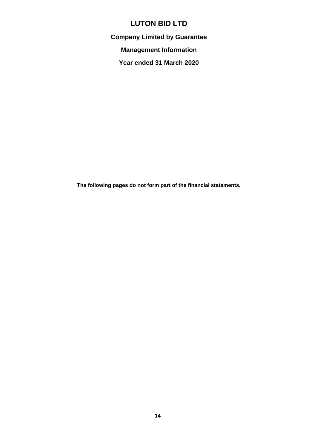**Company Limited by Guarantee**

**Management Information**

**Year ended 31 March 2020**

**The following pages do not form part of the financial statements.**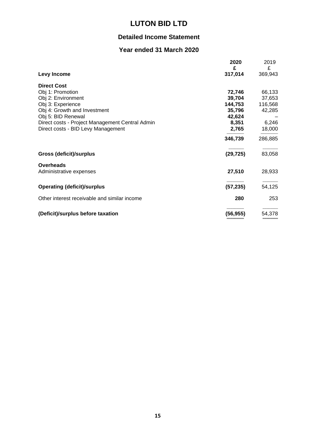## **Detailed Income Statement**

## **Year ended 31 March 2020**

|                                                 | 2020<br>£ | 2019<br>£ |
|-------------------------------------------------|-----------|-----------|
| Levy Income                                     | 317,014   | 369,943   |
| <b>Direct Cost</b>                              |           |           |
| Obj 1: Promotion                                | 72,746    | 66,133    |
| Obj 2: Environment                              | 39,704    | 37,653    |
| Obj 3: Experience                               | 144,753   | 116,568   |
| Obj 4: Growth and Investment                    | 35,796    | 42,285    |
| Obj 5: BID Renewal                              | 42,624    |           |
| Direct costs - Project Management Central Admin | 8,351     | 6,246     |
| Direct costs - BID Levy Management              | 2,765     | 18,000    |
|                                                 | 346,739   | 286,885   |
| <b>Gross (deficit)/surplus</b>                  | (29, 725) | 83,058    |
| <b>Overheads</b>                                |           |           |
| Administrative expenses                         | 27,510    | 28,933    |
| <b>Operating (deficit)/surplus</b>              | (57, 235) | 54,125    |
| Other interest receivable and similar income    | 280       | 253       |
| (Deficit)/surplus before taxation               | (56, 955) | 54,378    |
|                                                 |           |           |